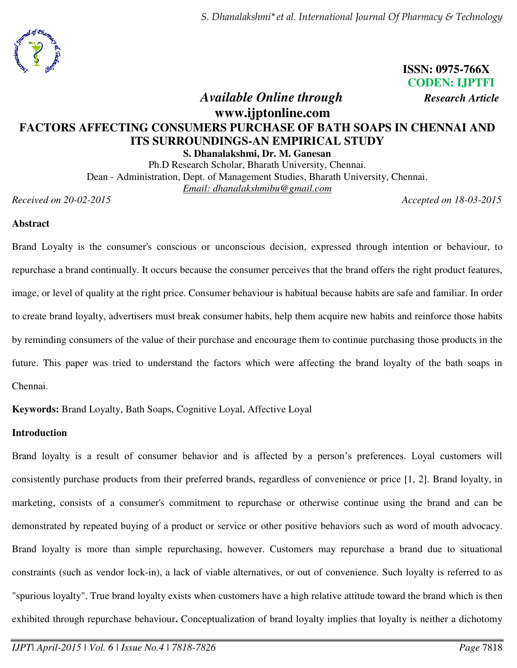*S. Dhanalakshmi\*et al. International Journal Of Pharmacy & Technology* 



# **ISSN: 0975-766X CODEN: IJPTFI**

*Available Online through Research Article* 

# **www.ijptonline.com FACTORS AFFECTING CONSUMERS PURCHASE OF BATH SOAPS IN CHENNAI AND ITS SURROUNDINGS-AN EMPIRICAL STUDY**

**S. Dhanalakshmi, Dr. M. Ganesan** 

Ph.D Research Scholar, Bharath University, Chennai. Dean - Administration, Dept. of Management Studies, Bharath University, Chennai. *Email: dhanalakshmibu@gmail.com* 

*Received on 20-02-2015 Accepted on 18-03-2015*

### **Abstract**

Brand Loyalty is the consumer's conscious or unconscious decision, expressed through intention or behaviour, to repurchase a brand continually. It occurs because the consumer perceives that the brand offers the right product features, image, or level of quality at the right price. Consumer behaviour is habitual because habits are safe and familiar. In order to create brand loyalty, advertisers must break consumer habits, help them acquire new habits and reinforce those habits by reminding consumers of the value of their purchase and encourage them to continue purchasing those products in the future. This paper was tried to understand the factors which were affecting the brand loyalty of the bath soaps in Chennai.

**Keywords:** Brand Loyalty, Bath Soaps, Cognitive Loyal, Affective Loyal

## **Introduction**

Brand loyalty is a result of consumer behavior and is affected by a person's preferences. Loyal customers will consistently purchase products from their preferred brands, regardless of convenience or price [1, 2]. Brand loyalty, in marketing, consists of a consumer's commitment to repurchase or otherwise continue using the brand and can be demonstrated by repeated buying of a product or service or other positive behaviors such as word of mouth advocacy. Brand loyalty is more than simple repurchasing, however. Customers may repurchase a brand due to situational constraints (such as vendor lock-in), a lack of viable alternatives, or out of convenience. Such loyalty is referred to as "spurious loyalty". True brand loyalty exists when customers have a high relative attitude toward the brand which is then exhibited through repurchase behaviour**.** Conceptualization of brand loyalty implies that loyalty is neither a dichotomy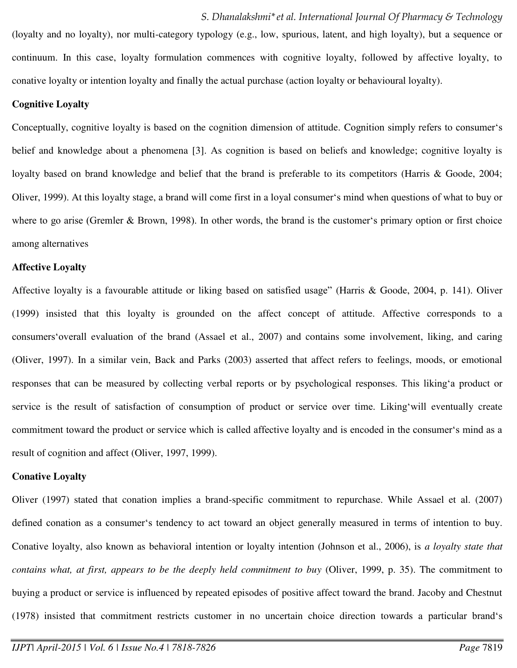(loyalty and no loyalty), nor multi-category typology (e.g., low, spurious, latent, and high loyalty), but a sequence or continuum. In this case, loyalty formulation commences with cognitive loyalty, followed by affective loyalty, to conative loyalty or intention loyalty and finally the actual purchase (action loyalty or behavioural loyalty).

#### **Cognitive Loyalty**

Conceptually, cognitive loyalty is based on the cognition dimension of attitude. Cognition simply refers to consumer's belief and knowledge about a phenomena [3]. As cognition is based on beliefs and knowledge; cognitive loyalty is loyalty based on brand knowledge and belief that the brand is preferable to its competitors (Harris & Goode, 2004; Oliver, 1999). At this loyalty stage, a brand will come first in a loyal consumer's mind when questions of what to buy or where to go arise (Gremler & Brown, 1998). In other words, the brand is the customer's primary option or first choice among alternatives

#### **Affective Loyalty**

Affective loyalty is a favourable attitude or liking based on satisfied usage" (Harris & Goode, 2004, p. 141). Oliver (1999) insisted that this loyalty is grounded on the affect concept of attitude. Affective corresponds to a consumers'overall evaluation of the brand (Assael et al., 2007) and contains some involvement, liking, and caring (Oliver, 1997). In a similar vein, Back and Parks (2003) asserted that affect refers to feelings, moods, or emotional responses that can be measured by collecting verbal reports or by psychological responses. This liking'a product or service is the result of satisfaction of consumption of product or service over time. Liking'will eventually create commitment toward the product or service which is called affective loyalty and is encoded in the consumer's mind as a result of cognition and affect (Oliver, 1997, 1999).

#### **Conative Loyalty**

Oliver (1997) stated that conation implies a brand-specific commitment to repurchase. While Assael et al. (2007) defined conation as a consumer's tendency to act toward an object generally measured in terms of intention to buy. Conative loyalty, also known as behavioral intention or loyalty intention (Johnson et al., 2006), is *a loyalty state that contains what, at first, appears to be the deeply held commitment to buy* (Oliver, 1999, p. 35). The commitment to buying a product or service is influenced by repeated episodes of positive affect toward the brand. Jacoby and Chestnut (1978) insisted that commitment restricts customer in no uncertain choice direction towards a particular brand's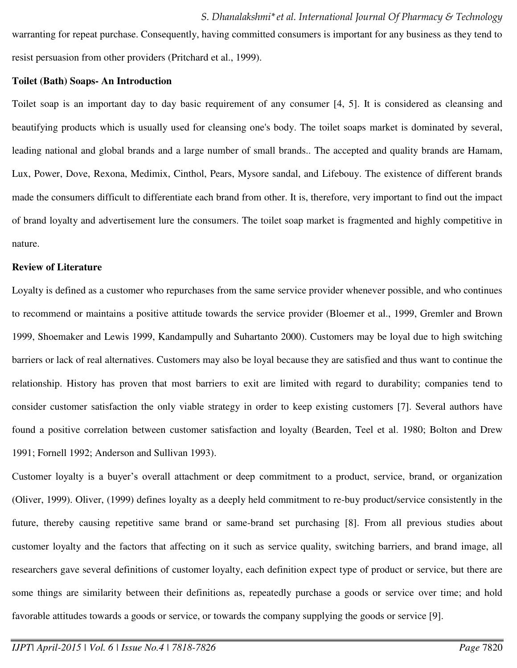warranting for repeat purchase. Consequently, having committed consumers is important for any business as they tend to resist persuasion from other providers (Pritchard et al., 1999).

#### **Toilet (Bath) Soaps- An Introduction**

Toilet soap is an important day to day basic requirement of any consumer [4, 5]. It is considered as cleansing and beautifying products which is usually used for cleansing one's body. The toilet soaps market is dominated by several, leading national and global brands and a large number of small brands.. The accepted and quality brands are Hamam, Lux, Power, Dove, Rexona, Medimix, Cinthol, Pears, Mysore sandal, and Lifebouy. The existence of different brands made the consumers difficult to differentiate each brand from other. It is, therefore, very important to find out the impact of brand loyalty and advertisement lure the consumers. The toilet soap market is fragmented and highly competitive in nature.

#### **Review of Literature**

Loyalty is defined as a customer who repurchases from the same service provider whenever possible, and who continues to recommend or maintains a positive attitude towards the service provider (Bloemer et al., 1999, Gremler and Brown 1999, Shoemaker and Lewis 1999, Kandampully and Suhartanto 2000). Customers may be loyal due to high switching barriers or lack of real alternatives. Customers may also be loyal because they are satisfied and thus want to continue the relationship. History has proven that most barriers to exit are limited with regard to durability; companies tend to consider customer satisfaction the only viable strategy in order to keep existing customers [7]. Several authors have found a positive correlation between customer satisfaction and loyalty (Bearden, Teel et al. 1980; Bolton and Drew 1991; Fornell 1992; Anderson and Sullivan 1993).

Customer loyalty is a buyer's overall attachment or deep commitment to a product, service, brand, or organization (Oliver, 1999). Oliver, (1999) defines loyalty as a deeply held commitment to re-buy product/service consistently in the future, thereby causing repetitive same brand or same-brand set purchasing [8]. From all previous studies about customer loyalty and the factors that affecting on it such as service quality, switching barriers, and brand image, all researchers gave several definitions of customer loyalty, each definition expect type of product or service, but there are some things are similarity between their definitions as, repeatedly purchase a goods or service over time; and hold favorable attitudes towards a goods or service, or towards the company supplying the goods or service [9].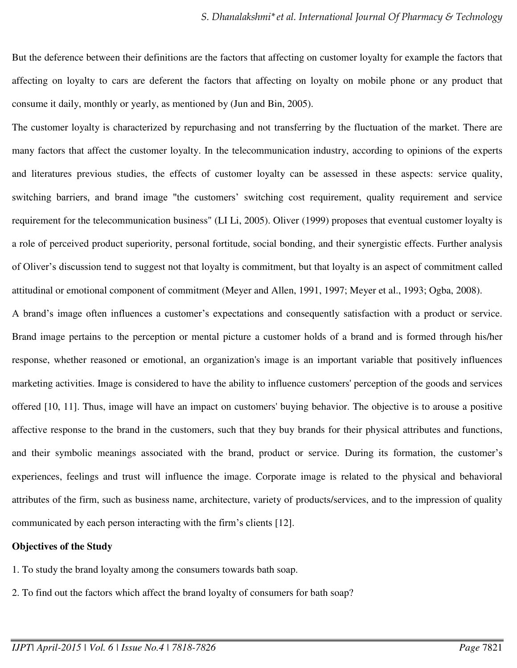But the deference between their definitions are the factors that affecting on customer loyalty for example the factors that affecting on loyalty to cars are deferent the factors that affecting on loyalty on mobile phone or any product that consume it daily, monthly or yearly, as mentioned by (Jun and Bin, 2005).

The customer loyalty is characterized by repurchasing and not transferring by the fluctuation of the market. There are many factors that affect the customer loyalty. In the telecommunication industry, according to opinions of the experts and literatures previous studies, the effects of customer loyalty can be assessed in these aspects: service quality, switching barriers, and brand image "the customers' switching cost requirement, quality requirement and service requirement for the telecommunication business" (LI Li, 2005). Oliver (1999) proposes that eventual customer loyalty is a role of perceived product superiority, personal fortitude, social bonding, and their synergistic effects. Further analysis of Oliver's discussion tend to suggest not that loyalty is commitment, but that loyalty is an aspect of commitment called attitudinal or emotional component of commitment (Meyer and Allen, 1991, 1997; Meyer et al., 1993; Ogba, 2008).

A brand's image often influences a customer's expectations and consequently satisfaction with a product or service. Brand image pertains to the perception or mental picture a customer holds of a brand and is formed through his/her response, whether reasoned or emotional, an organization's image is an important variable that positively influences marketing activities. Image is considered to have the ability to influence customers' perception of the goods and services offered [10, 11]. Thus, image will have an impact on customers' buying behavior. The objective is to arouse a positive affective response to the brand in the customers, such that they buy brands for their physical attributes and functions, and their symbolic meanings associated with the brand, product or service. During its formation, the customer's experiences, feelings and trust will influence the image. Corporate image is related to the physical and behavioral attributes of the firm, such as business name, architecture, variety of products/services, and to the impression of quality communicated by each person interacting with the firm's clients [12].

#### **Objectives of the Study**

- 1. To study the brand loyalty among the consumers towards bath soap.
- 2. To find out the factors which affect the brand loyalty of consumers for bath soap?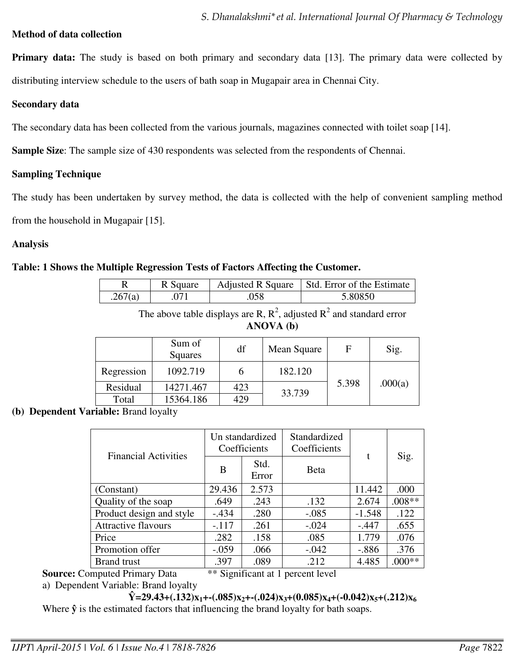## **Method of data collection**

**Primary data:** The study is based on both primary and secondary data [13]. The primary data were collected by distributing interview schedule to the users of bath soap in Mugapair area in Chennai City.

### **Secondary data**

The secondary data has been collected from the various journals, magazines connected with toilet soap [14].

**Sample Size**: The sample size of 430 respondents was selected from the respondents of Chennai.

# **Sampling Technique**

The study has been undertaken by survey method, the data is collected with the help of convenient sampling method

from the household in Mugapair [15].

# **Analysis**

# **Table: 1 Shows the Multiple Regression Tests of Factors Affecting the Customer.**

|         | R Square |      | Adjusted R Square   Std. Error of the Estimate |
|---------|----------|------|------------------------------------------------|
| .267(a) |          | .)58 | 5.80850                                        |

The above table displays are R,  $R^2$ , adjusted  $R^2$  and standard error **ANOVA (b)**

|            | Sum of<br>Squares | df  | Mean Square | F     | Sig.    |  |
|------------|-------------------|-----|-------------|-------|---------|--|
| Regression | 1092.719          |     | 182.120     |       |         |  |
| Residual   | 14271.467         | 423 | 33.739      | 5.398 | .000(a) |  |
| Total      | 15364.186         | 429 |             |       |         |  |

**(b) Dependent Variable:** Brand loyalty

| <b>Financial Activities</b> | Un standardized<br>Coefficients |               | Standardized<br>Coefficients |          |          |  |
|-----------------------------|---------------------------------|---------------|------------------------------|----------|----------|--|
|                             | B                               | Std.<br>Error | <b>B</b> eta                 | t        | Sig.     |  |
| (Constant)                  | 29.436                          | 2.573         |                              | 11.442   | .000     |  |
| Quality of the soap         | .649                            | .243          | .132                         | 2.674    | $.008**$ |  |
| Product design and style    | $-.434$                         | .280          | $-.085$                      | $-1.548$ | .122     |  |
| <b>Attractive flavours</b>  | $-.117$                         | .261          | $-.024$                      | $-.447$  | .655     |  |
| Price                       | .282                            | .158          | .085                         | 1.779    | .076     |  |
| Promotion offer             | $-.059$                         | .066          | $-.042$                      | $-.886$  | .376     |  |
| <b>Brand</b> trust          | .397                            | .089          | .212                         | 4.485    | $.000**$ |  |

**Source:** Computed Primary Data \*\* Significant at 1 percent level

a) Dependent Variable: Brand loyalty

 $\hat{Y} = 29.43 + (.132)x_1 + (.085)x_2 + .(.024)x_3 + (0.085)x_4 + (.0.042)x_5 + (.212)x_6$ 

Where  $\hat{y}$  is the estimated factors that influencing the brand loyalty for bath soaps.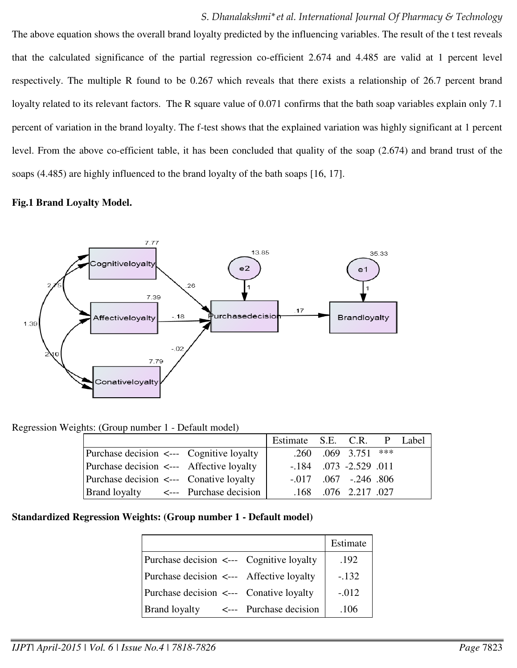The above equation shows the overall brand loyalty predicted by the influencing variables. The result of the t test reveals that the calculated significance of the partial regression co-efficient 2.674 and 4.485 are valid at 1 percent level respectively. The multiple R found to be 0.267 which reveals that there exists a relationship of 26.7 percent brand loyalty related to its relevant factors. The R square value of 0.071 confirms that the bath soap variables explain only 7.1 percent of variation in the brand loyalty. The f-test shows that the explained variation was highly significant at 1 percent level. From the above co-efficient table, it has been concluded that quality of the soap (2.674) and brand trust of the soaps (4.485) are highly influenced to the brand loyalty of the bath soaps [16, 17].

## **Fig.1 Brand Loyalty Model.**



Regression Weights: (Group number 1 - Default model)

|                                          | Estimate S.E. C.R. P Label |                                 |  |
|------------------------------------------|----------------------------|---------------------------------|--|
| Purchase decision <--- Cognitive loyalty |                            | $.260$ $.069$ $3.751$ ***       |  |
| Purchase decision <--- Affective loyalty |                            | $-.184$ $.073$ $-.2.529$ $.011$ |  |
| Purchase decision <--- Conative loyalty  |                            | $-.017$ $.067$ $-.246$ $.806$   |  |
| Brand loyalty <--- Purchase decision     |                            | .168 .076 2.217 .027            |  |

# **Standardized Regression Weights: (Group number 1 - Default model)**

|                                          |                        | Estimate |
|------------------------------------------|------------------------|----------|
| Purchase decision <--- Cognitive loyalty |                        | .192     |
| Purchase decision <--- Affective loyalty |                        | $-.132$  |
| Purchase decision <--- Conative loyalty  |                        | $-.012$  |
| <b>Brand loyalty</b>                     | <--- Purchase decision | .106     |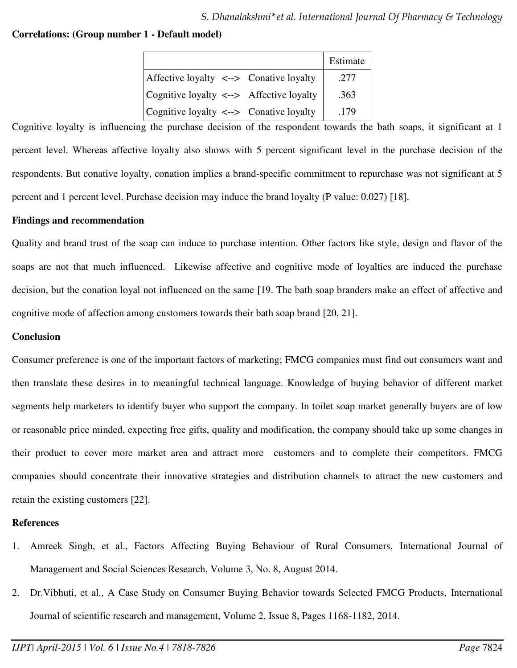# **Correlations: (Group number 1 - Default model)**

|                                                   | Estimate |
|---------------------------------------------------|----------|
| Affective loyalty $\leftarrow$ > Conative loyalty | .277     |
| $\cosh$ Cognitive loyalty <--> Affective loyalty  | .363     |
| Cognitive loyalty <--> Conative loyalty           | .179     |

Cognitive loyalty is influencing the purchase decision of the respondent towards the bath soaps, it significant at 1 percent level. Whereas affective loyalty also shows with 5 percent significant level in the purchase decision of the respondents. But conative loyalty, conation implies a brand-specific commitment to repurchase was not significant at 5 percent and 1 percent level. Purchase decision may induce the brand loyalty (P value: 0.027) [18].

## **Findings and recommendation**

Quality and brand trust of the soap can induce to purchase intention. Other factors like style, design and flavor of the soaps are not that much influenced. Likewise affective and cognitive mode of loyalties are induced the purchase decision, but the conation loyal not influenced on the same [19. The bath soap branders make an effect of affective and cognitive mode of affection among customers towards their bath soap brand [20, 21].

# **Conclusion**

Consumer preference is one of the important factors of marketing; FMCG companies must find out consumers want and then translate these desires in to meaningful technical language. Knowledge of buying behavior of different market segments help marketers to identify buyer who support the company. In toilet soap market generally buyers are of low or reasonable price minded, expecting free gifts, quality and modification, the company should take up some changes in their product to cover more market area and attract more customers and to complete their competitors. FMCG companies should concentrate their innovative strategies and distribution channels to attract the new customers and retain the existing customers [22].

### **References**

- 1. Amreek Singh, et al., Factors Affecting Buying Behaviour of Rural Consumers, International Journal of Management and Social Sciences Research, Volume 3, No. 8, August 2014.
- 2. Dr.Vibhuti, et al., A Case Study on Consumer Buying Behavior towards Selected FMCG Products, International Journal of scientific research and management, Volume 2, Issue 8, Pages 1168-1182, 2014.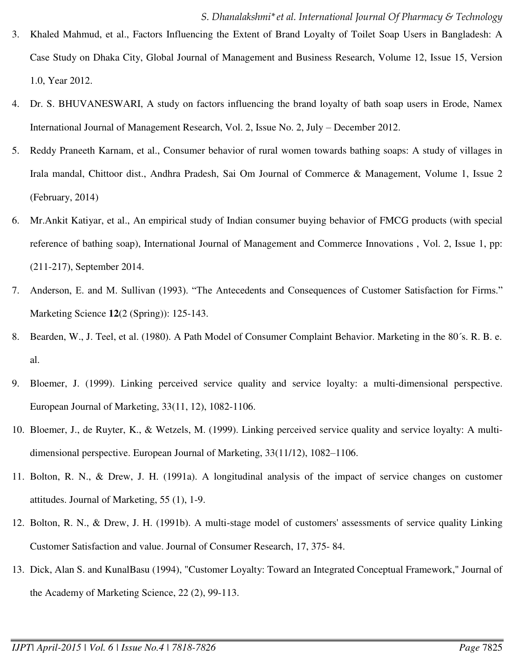- 3. Khaled Mahmud, et al., Factors Influencing the Extent of Brand Loyalty of Toilet Soap Users in Bangladesh: A Case Study on Dhaka City, Global Journal of Management and Business Research, Volume 12, Issue 15, Version 1.0, Year 2012.
- 4. Dr. S. BHUVANESWARI, A study on factors influencing the brand loyalty of bath soap users in Erode, Namex International Journal of Management Research, Vol. 2, Issue No. 2, July – December 2012.
- 5. Reddy Praneeth Karnam, et al., Consumer behavior of rural women towards bathing soaps: A study of villages in Irala mandal, Chittoor dist., Andhra Pradesh, Sai Om Journal of Commerce & Management, Volume 1, Issue 2 (February, 2014)
- 6. Mr.Ankit Katiyar, et al., An empirical study of Indian consumer buying behavior of FMCG products (with special reference of bathing soap), International Journal of Management and Commerce Innovations , Vol. 2, Issue 1, pp: (211-217), September 2014.
- 7. Anderson, E. and M. Sullivan (1993). "The Antecedents and Consequences of Customer Satisfaction for Firms." Marketing Science **12**(2 (Spring)): 125-143.
- 8. Bearden, W., J. Teel, et al. (1980). A Path Model of Consumer Complaint Behavior. Marketing in the 80´s. R. B. e. al.
- 9. Bloemer, J. (1999). Linking perceived service quality and service loyalty: a multi-dimensional perspective. European Journal of Marketing, 33(11, 12), 1082-1106.
- 10. Bloemer, J., de Ruyter, K., & Wetzels, M. (1999). Linking perceived service quality and service loyalty: A multidimensional perspective. European Journal of Marketing, 33(11/12), 1082–1106.
- 11. Bolton, R. N., & Drew, J. H. (1991a). A longitudinal analysis of the impact of service changes on customer attitudes. Journal of Marketing, 55 (1), 1-9.
- 12. Bolton, R. N., & Drew, J. H. (1991b). A multi-stage model of customers' assessments of service quality Linking Customer Satisfaction and value. Journal of Consumer Research, 17, 375- 84.
- 13. Dick, Alan S. and KunalBasu (1994), "Customer Loyalty: Toward an Integrated Conceptual Framework," Journal of the Academy of Marketing Science, 22 (2), 99-113.